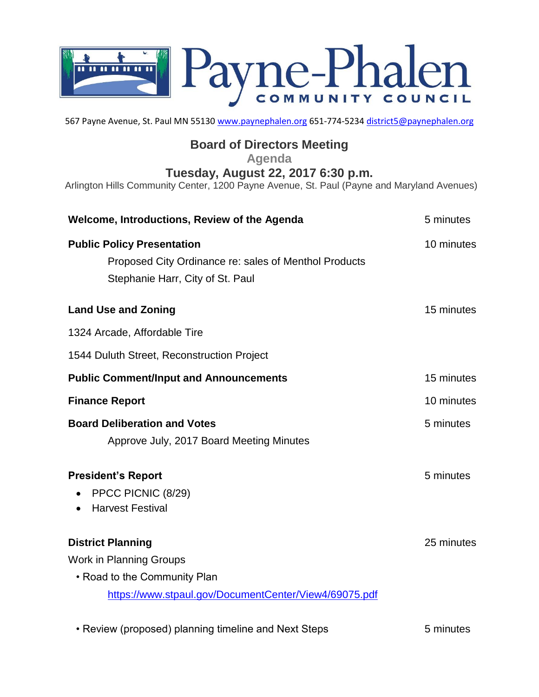

567 Payne Avenue, St. Paul MN 55130 [www.paynephalen.org](http://www.paynephalen.org/) 651-774-5234 [district5@paynephalen.org](mailto:district5@paynephalen.org)

## **Board of Directors Meeting**

**Agenda**

**Tuesday, August 22, 2017 6:30 p.m.**

Arlington Hills Community Center, 1200 Payne Avenue, St. Paul (Payne and Maryland Avenues)

| Welcome, Introductions, Review of the Agenda                                                                                                        | 5 minutes  |
|-----------------------------------------------------------------------------------------------------------------------------------------------------|------------|
| <b>Public Policy Presentation</b><br>Proposed City Ordinance re: sales of Menthol Products<br>Stephanie Harr, City of St. Paul                      | 10 minutes |
| <b>Land Use and Zoning</b>                                                                                                                          | 15 minutes |
| 1324 Arcade, Affordable Tire                                                                                                                        |            |
| 1544 Duluth Street, Reconstruction Project                                                                                                          |            |
| <b>Public Comment/Input and Announcements</b>                                                                                                       | 15 minutes |
| <b>Finance Report</b>                                                                                                                               | 10 minutes |
| <b>Board Deliberation and Votes</b><br>Approve July, 2017 Board Meeting Minutes                                                                     | 5 minutes  |
| <b>President's Report</b><br>PPCC PICNIC (8/29)<br><b>Harvest Festival</b>                                                                          | 5 minutes  |
| <b>District Planning</b><br><b>Work in Planning Groups</b><br>• Road to the Community Plan<br>https://www.stpaul.gov/DocumentCenter/View4/69075.pdf | 25 minutes |

• Review (proposed) planning timeline and Next Steps 5 minutes